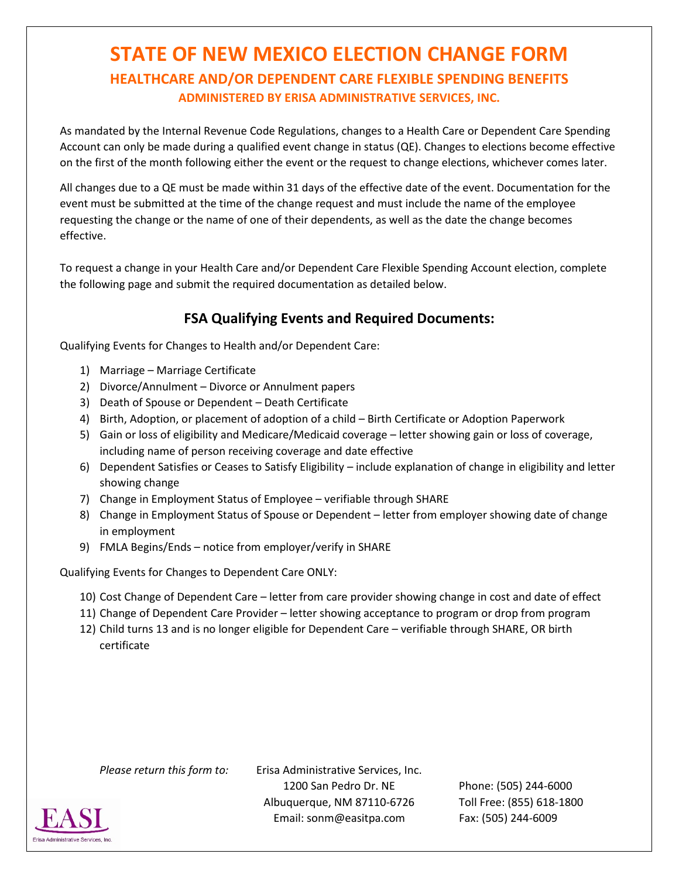## **STATE OF NEW MEXICO ELECTION CHANGE FORM HEALTHCARE AND/OR DEPENDENT CARE FLEXIBLE SPENDING BENEFITS ADMINISTERED BY ERISA ADMINISTRATIVE SERVICES, INC.**

As mandated by the Internal Revenue Code Regulations, changes to a Health Care or Dependent Care Spending Account can only be made during a qualified event change in status (QE). Changes to elections become effective on the first of the month following either the event or the request to change elections, whichever comes later.

All changes due to a QE must be made within 31 days of the effective date of the event. Documentation for the event must be submitted at the time of the change request and must include the name of the employee requesting the change or the name of one of their dependents, as well as the date the change becomes effective.

To request a change in your Health Care and/or Dependent Care Flexible Spending Account election, complete the following page and submit the required documentation as detailed below.

## **FSA Qualifying Events and Required Documents:**

Qualifying Events for Changes to Health and/or Dependent Care:

- 1) Marriage Marriage Certificate
- 2) Divorce/Annulment Divorce or Annulment papers
- 3) Death of Spouse or Dependent Death Certificate
- 4) Birth, Adoption, or placement of adoption of a child Birth Certificate or Adoption Paperwork
- 5) Gain or loss of eligibility and Medicare/Medicaid coverage letter showing gain or loss of coverage, including name of person receiving coverage and date effective
- 6) Dependent Satisfies or Ceases to Satisfy Eligibility include explanation of change in eligibility and letter showing change
- 7) Change in Employment Status of Employee verifiable through SHARE
- 8) Change in Employment Status of Spouse or Dependent letter from employer showing date of change in employment
- 9) FMLA Begins/Ends notice from employer/verify in SHARE

Qualifying Events for Changes to Dependent Care ONLY:

- 10) Cost Change of Dependent Care letter from care provider showing change in cost and date of effect
- 11) Change of Dependent Care Provider letter showing acceptance to program or drop from program
- 12) Child turns 13 and is no longer eligible for Dependent Care verifiable through SHARE, OR birth certificate

*Please return this form to:* Erisa Administrative Services, Inc. 1200 San Pedro Dr. NE Phone: (505) 244-6000 Albuquerque, NM 87110-6726 Toll Free: (855) 618-1800 Email: sonm@easitpa.com Fax: (505) 244-6009